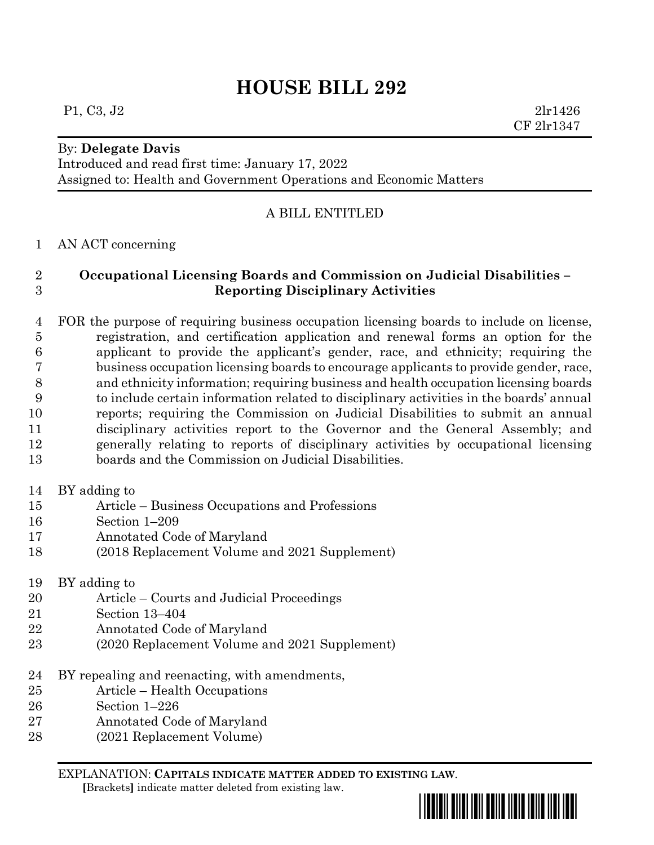# **HOUSE BILL 292**

#### By: **Delegate Davis**

Introduced and read first time: January 17, 2022 Assigned to: Health and Government Operations and Economic Matters

### A BILL ENTITLED

#### AN ACT concerning

## **Occupational Licensing Boards and Commission on Judicial Disabilities – Reporting Disciplinary Activities**

 FOR the purpose of requiring business occupation licensing boards to include on license, registration, and certification application and renewal forms an option for the applicant to provide the applicant's gender, race, and ethnicity; requiring the business occupation licensing boards to encourage applicants to provide gender, race, and ethnicity information; requiring business and health occupation licensing boards to include certain information related to disciplinary activities in the boards' annual reports; requiring the Commission on Judicial Disabilities to submit an annual disciplinary activities report to the Governor and the General Assembly; and generally relating to reports of disciplinary activities by occupational licensing boards and the Commission on Judicial Disabilities.

- BY adding to
- Article Business Occupations and Professions
- Section 1–209
- Annotated Code of Maryland
- (2018 Replacement Volume and 2021 Supplement)
- BY adding to
- Article Courts and Judicial Proceedings
- Section 13–404
- Annotated Code of Maryland
- (2020 Replacement Volume and 2021 Supplement)
- BY repealing and reenacting, with amendments,
- Article Health Occupations
- Section 1–226
- Annotated Code of Maryland
- (2021 Replacement Volume)

EXPLANATION: **CAPITALS INDICATE MATTER ADDED TO EXISTING LAW**.

 **[**Brackets**]** indicate matter deleted from existing law.

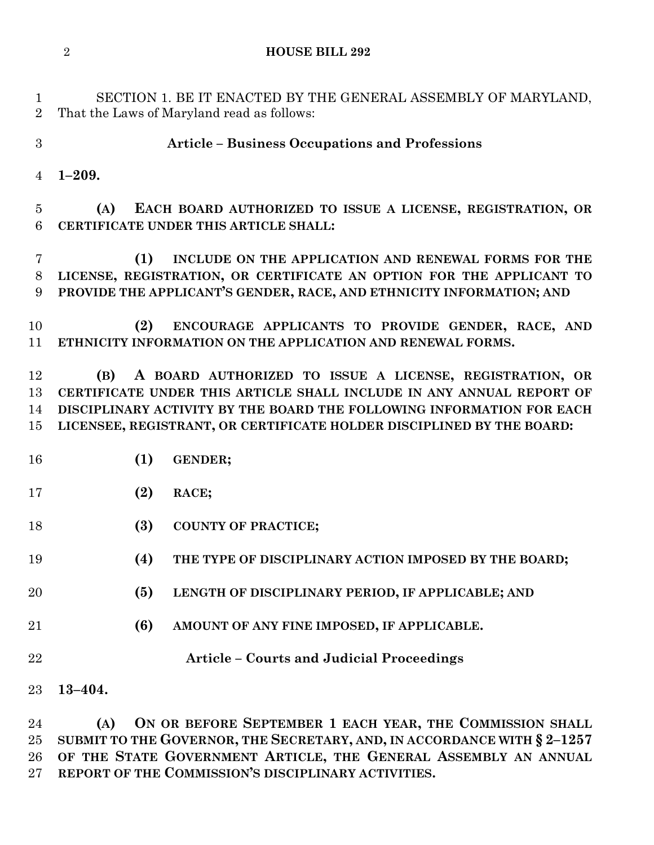**HOUSE BILL 292**

 SECTION 1. BE IT ENACTED BY THE GENERAL ASSEMBLY OF MARYLAND, That the Laws of Maryland read as follows:

**Article – Business Occupations and Professions**

**1–209.**

 **(A) EACH BOARD AUTHORIZED TO ISSUE A LICENSE, REGISTRATION, OR CERTIFICATE UNDER THIS ARTICLE SHALL:**

 **(1) INCLUDE ON THE APPLICATION AND RENEWAL FORMS FOR THE LICENSE, REGISTRATION, OR CERTIFICATE AN OPTION FOR THE APPLICANT TO PROVIDE THE APPLICANT'S GENDER, RACE, AND ETHNICITY INFORMATION; AND**

 **(2) ENCOURAGE APPLICANTS TO PROVIDE GENDER, RACE, AND ETHNICITY INFORMATION ON THE APPLICATION AND RENEWAL FORMS.**

 **(B) A BOARD AUTHORIZED TO ISSUE A LICENSE, REGISTRATION, OR CERTIFICATE UNDER THIS ARTICLE SHALL INCLUDE IN ANY ANNUAL REPORT OF DISCIPLINARY ACTIVITY BY THE BOARD THE FOLLOWING INFORMATION FOR EACH LICENSEE, REGISTRANT, OR CERTIFICATE HOLDER DISCIPLINED BY THE BOARD:**

- **(1) GENDER;**
- **(2) RACE;**
- **(3) COUNTY OF PRACTICE;**
- **(4) THE TYPE OF DISCIPLINARY ACTION IMPOSED BY THE BOARD;**
- **(5) LENGTH OF DISCIPLINARY PERIOD, IF APPLICABLE; AND**
- **(6) AMOUNT OF ANY FINE IMPOSED, IF APPLICABLE.**
- **Article – Courts and Judicial Proceedings**
- **13–404.**

 **(A) ON OR BEFORE SEPTEMBER 1 EACH YEAR, THE COMMISSION SHALL SUBMIT TO THE GOVERNOR, THE SECRETARY, AND, IN ACCORDANCE WITH § 2–1257 OF THE STATE GOVERNMENT ARTICLE, THE GENERAL ASSEMBLY AN ANNUAL REPORT OF THE COMMISSION'S DISCIPLINARY ACTIVITIES.**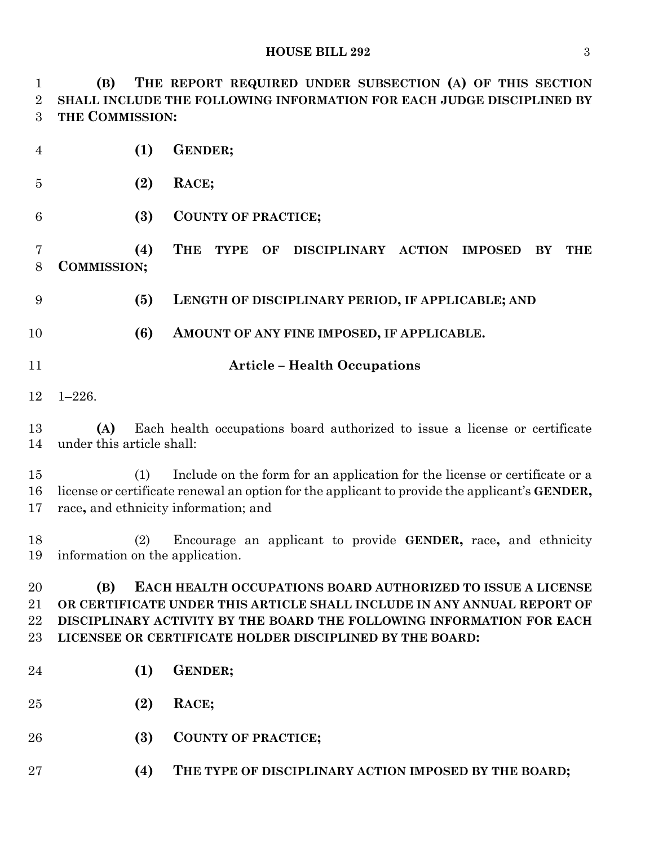**(B) THE REPORT REQUIRED UNDER SUBSECTION (A) OF THIS SECTION SHALL INCLUDE THE FOLLOWING INFORMATION FOR EACH JUDGE DISCIPLINED BY THE COMMISSION:**

| $\overline{4}$           | (1)                                    | <b>GENDER;</b>                                                                                                                                                                                                                                                              |
|--------------------------|----------------------------------------|-----------------------------------------------------------------------------------------------------------------------------------------------------------------------------------------------------------------------------------------------------------------------------|
| $\overline{5}$           | (2)                                    | RACE;                                                                                                                                                                                                                                                                       |
| 6                        | (3)                                    | <b>COUNTY OF PRACTICE;</b>                                                                                                                                                                                                                                                  |
| 7<br>8                   | (4)<br><b>COMMISSION;</b>              | <b>THE</b><br><b>TYPE</b><br>OF<br>DISCIPLINARY ACTION<br><b>IMPOSED</b><br>BY<br><b>THE</b>                                                                                                                                                                                |
| 9                        | (5)                                    | LENGTH OF DISCIPLINARY PERIOD, IF APPLICABLE; AND                                                                                                                                                                                                                           |
| 10                       | (6)                                    | AMOUNT OF ANY FINE IMPOSED, IF APPLICABLE.                                                                                                                                                                                                                                  |
| 11                       |                                        | <b>Article - Health Occupations</b>                                                                                                                                                                                                                                         |
| 12                       | $1 - 226.$                             |                                                                                                                                                                                                                                                                             |
| 13<br>14                 | (A)<br>under this article shall:       | Each health occupations board authorized to issue a license or certificate                                                                                                                                                                                                  |
| 15<br>16<br>17           | (1)                                    | Include on the form for an application for the license or certificate or a<br>license or certificate renewal an option for the applicant to provide the applicant's <b>GENDER</b> ,<br>race, and ethnicity information; and                                                 |
| 18<br>19                 | (2)<br>information on the application. | Encourage an applicant to provide GENDER, race, and ethnicity                                                                                                                                                                                                               |
| 20<br>21<br>22<br>$23\,$ | (B)                                    | EACH HEALTH OCCUPATIONS BOARD AUTHORIZED TO ISSUE A LICENSE<br>OR CERTIFICATE UNDER THIS ARTICLE SHALL INCLUDE IN ANY ANNUAL REPORT OF<br>DISCIPLINARY ACTIVITY BY THE BOARD THE FOLLOWING INFORMATION FOR EACH<br>LICENSEE OR CERTIFICATE HOLDER DISCIPLINED BY THE BOARD: |
| 24                       | (1)                                    | <b>GENDER;</b>                                                                                                                                                                                                                                                              |
| 25                       | (2)                                    | RACE;                                                                                                                                                                                                                                                                       |
| 26                       | (3)                                    | <b>COUNTY OF PRACTICE;</b>                                                                                                                                                                                                                                                  |
| $27\,$                   | (4)                                    | THE TYPE OF DISCIPLINARY ACTION IMPOSED BY THE BOARD;                                                                                                                                                                                                                       |